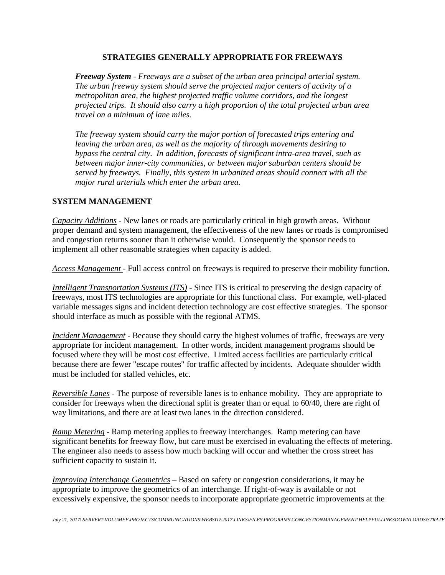## **STRATEGIES GENERALLY APPROPRIATE FOR FREEWAYS**

*Freeway System - Freeways are a subset of the urban area principal arterial system. The urban freeway system should serve the projected major centers of activity of a metropolitan area, the highest projected traffic volume corridors, and the longest projected trips. It should also carry a high proportion of the total projected urban area travel on a minimum of lane miles.*

*The freeway system should carry the major portion of forecasted trips entering and leaving the urban area, as well as the majority of through movements desiring to bypass the central city. In addition, forecasts of significant intra-area travel, such as between major inner-city communities, or between major suburban centers should be served by freeways. Finally, this system in urbanized areas should connect with all the major rural arterials which enter the urban area.*

## **SYSTEM MANAGEMENT**

*Capacity Additions* - New lanes or roads are particularly critical in high growth areas. Without proper demand and system management, the effectiveness of the new lanes or roads is compromised and congestion returns sooner than it otherwise would. Consequently the sponsor needs to implement all other reasonable strategies when capacity is added.

*Access Management* - Full access control on freeways is required to preserve their mobility function.

*Intelligent Transportation Systems (ITS)* - Since ITS is critical to preserving the design capacity of freeways, most ITS technologies are appropriate for this functional class. For example, well-placed variable messages signs and incident detection technology are cost effective strategies. The sponsor should interface as much as possible with the regional ATMS.

*Incident Management* - Because they should carry the highest volumes of traffic, freeways are very appropriate for incident management. In other words, incident management programs should be focused where they will be most cost effective. Limited access facilities are particularly critical because there are fewer "escape routes" for traffic affected by incidents. Adequate shoulder width must be included for stalled vehicles, etc.

*Reversible Lanes* - The purpose of reversible lanes is to enhance mobility. They are appropriate to consider for freeways when the directional split is greater than or equal to 60/40, there are right of way limitations, and there are at least two lanes in the direction considered.

*Ramp Metering* - Ramp metering applies to freeway interchanges. Ramp metering can have significant benefits for freeway flow, but care must be exercised in evaluating the effects of metering. The engineer also needs to assess how much backing will occur and whether the cross street has sufficient capacity to sustain it.

*Improving Interchange Geometrics* – Based on safety or congestion considerations, it may be appropriate to improve the geometrics of an interchange. If right-of-way is available or not excessively expensive, the sponsor needs to incorporate appropriate geometric improvements at the